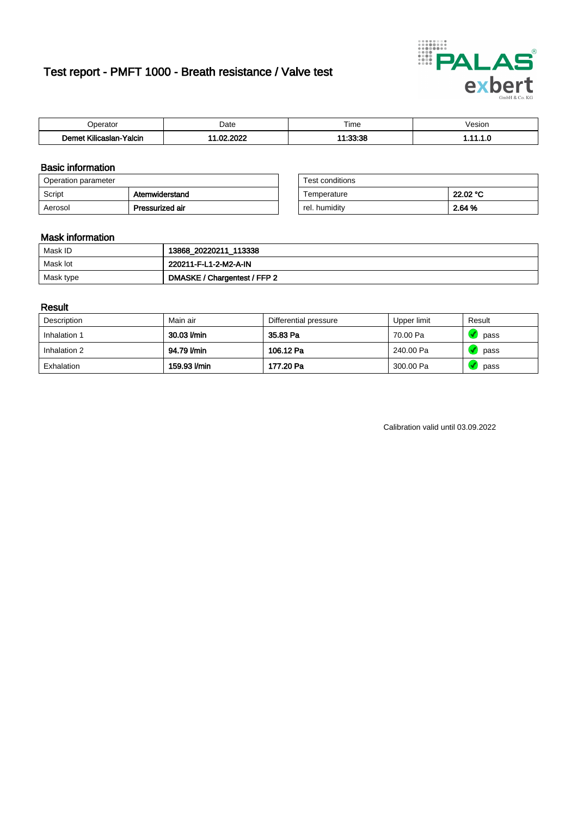# Test report - PMFT 1000 - Breath resistance / Valve test



| Joerator                   | Date               | $- \cdot$<br>Гіmе | esion |
|----------------------------|--------------------|-------------------|-------|
| .<br>Yalcin<br>∧ilicaslan- | 000<br>$\sim$<br>w | $\ldots$          | .     |

### Basic information

| Operation parameter |                 | Test conditions |          |
|---------------------|-----------------|-----------------|----------|
| Script              | Atemwiderstand  | Temperature     | 22.02 °C |
| Aerosol             | Pressurized air | rel. humidity   | 2.64 %   |

| Test conditions |          |
|-----------------|----------|
| Temperature     | 22.02 °C |
| rel. humidity   | 2.64 %   |

#### Mask information

| Mask ID   | 13868_20220211_113338        |
|-----------|------------------------------|
| Mask lot  | 220211-F-L1-2-M2-A-IN        |
| Mask type | DMASKE / Chargentest / FFP 2 |

### Result

| Description  | Main air     | Differential pressure | Upper limit | Result |
|--------------|--------------|-----------------------|-------------|--------|
| Inhalation 1 | 30.03 l/min  | 35.83 Pa              | 70.00 Pa    | pass   |
| Inhalation 2 | 94.79 I/min  | 106.12 Pa             | 240.00 Pa   | pass   |
| Exhalation   | 159.93 l/min | 177.20 Pa             | 300.00 Pa   | pass   |

Calibration valid until 03.09.2022